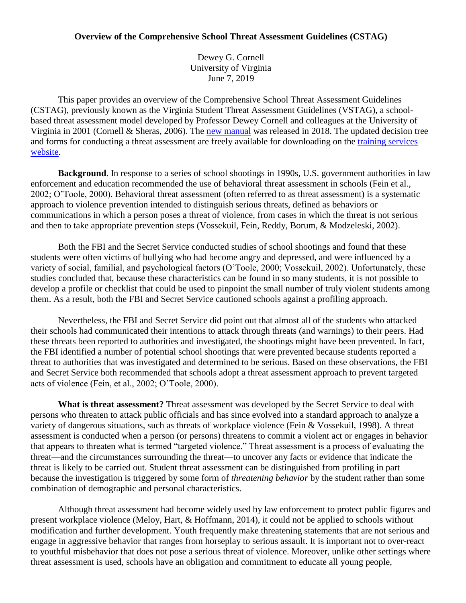# **Overview of the Comprehensive School Threat Assessment Guidelines (CSTAG)**

Dewey G. Cornell University of Virginia June 7, 2019

This paper provides an overview of the Comprehensive School Threat Assessment Guidelines (CSTAG), previously known as the Virginia Student Threat Assessment Guidelines (VSTAG), a schoolbased threat assessment model developed by Professor Dewey Cornell and colleagues at the University of Virginia in 2001 (Cornell & Sheras, 2006). The [new manual](https://www.schoolta.com/manual) was released in 2018. The updated decision tree and forms for conducting a threat assessment are freely available for downloading on the [training services](http://www.schoolta.com/)  [website.](http://www.schoolta.com/)

**Background**. In response to a series of school shootings in 1990s, U.S. government authorities in law enforcement and education recommended the use of behavioral threat assessment in schools (Fein et al., 2002; O'Toole, 2000). Behavioral threat assessment (often referred to as threat assessment) is a systematic approach to violence prevention intended to distinguish serious threats, defined as behaviors or communications in which a person poses a threat of violence, from cases in which the threat is not serious and then to take appropriate prevention steps (Vossekuil, Fein, Reddy, Borum, & Modzeleski, 2002).

Both the FBI and the Secret Service conducted studies of school shootings and found that these students were often victims of bullying who had become angry and depressed, and were influenced by a variety of social, familial, and psychological factors (O'Toole, 2000; Vossekuil, 2002). Unfortunately, these studies concluded that, because these characteristics can be found in so many students, it is not possible to develop a profile or checklist that could be used to pinpoint the small number of truly violent students among them. As a result, both the FBI and Secret Service cautioned schools against a profiling approach.

Nevertheless, the FBI and Secret Service did point out that almost all of the students who attacked their schools had communicated their intentions to attack through threats (and warnings) to their peers. Had these threats been reported to authorities and investigated, the shootings might have been prevented. In fact, the FBI identified a number of potential school shootings that were prevented because students reported a threat to authorities that was investigated and determined to be serious. Based on these observations, the FBI and Secret Service both recommended that schools adopt a threat assessment approach to prevent targeted acts of violence (Fein, et al., 2002; O'Toole, 2000).

**What is threat assessment?** Threat assessment was developed by the Secret Service to deal with persons who threaten to attack public officials and has since evolved into a standard approach to analyze a variety of dangerous situations, such as threats of workplace violence (Fein & Vossekuil, 1998). A threat assessment is conducted when a person (or persons) threatens to commit a violent act or engages in behavior that appears to threaten what is termed "targeted violence." Threat assessment is a process of evaluating the threat—and the circumstances surrounding the threat—to uncover any facts or evidence that indicate the threat is likely to be carried out. Student threat assessment can be distinguished from profiling in part because the investigation is triggered by some form of *threatening behavior* by the student rather than some combination of demographic and personal characteristics.

Although threat assessment had become widely used by law enforcement to protect public figures and present workplace violence (Meloy, Hart, & Hoffmann, 2014), it could not be applied to schools without modification and further development. Youth frequently make threatening statements that are not serious and engage in aggressive behavior that ranges from horseplay to serious assault. It is important not to over-react to youthful misbehavior that does not pose a serious threat of violence. Moreover, unlike other settings where threat assessment is used, schools have an obligation and commitment to educate all young people,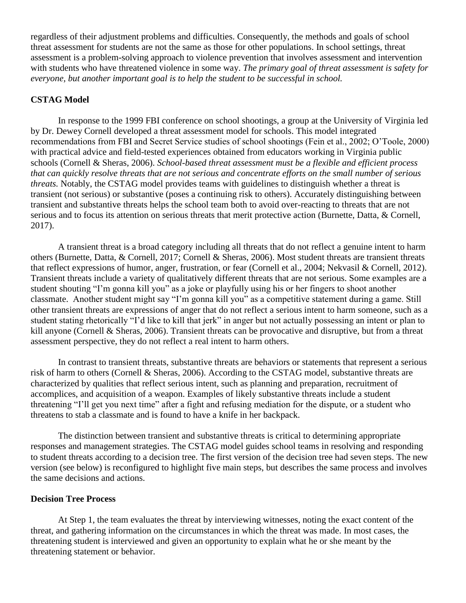regardless of their adjustment problems and difficulties. Consequently, the methods and goals of school threat assessment for students are not the same as those for other populations. In school settings, threat assessment is a problem-solving approach to violence prevention that involves assessment and intervention with students who have threatened violence in some way. *The primary goal of threat assessment is safety for everyone, but another important goal is to help the student to be successful in school.*

## **CSTAG Model**

In response to the 1999 FBI conference on school shootings, a group at the University of Virginia led by Dr. Dewey Cornell developed a threat assessment model for schools. This model integrated recommendations from FBI and Secret Service studies of school shootings (Fein et al., 2002; O'Toole, 2000) with practical advice and field-tested experiences obtained from educators working in Virginia public schools (Cornell & Sheras, 2006). *School-based threat assessment must be a flexible and efficient process that can quickly resolve threats that are not serious and concentrate efforts on the small number of serious threats.* Notably, the CSTAG model provides teams with guidelines to distinguish whether a threat is transient (not serious) or substantive (poses a continuing risk to others). Accurately distinguishing between transient and substantive threats helps the school team both to avoid over-reacting to threats that are not serious and to focus its attention on serious threats that merit protective action (Burnette, Datta, & Cornell, 2017).

A transient threat is a broad category including all threats that do not reflect a genuine intent to harm others (Burnette, Datta, & Cornell, 2017; Cornell & Sheras, 2006). Most student threats are transient threats that reflect expressions of humor, anger, frustration, or fear (Cornell et al., 2004; Nekvasil & Cornell, 2012). Transient threats include a variety of qualitatively different threats that are not serious. Some examples are a student shouting "I'm gonna kill you" as a joke or playfully using his or her fingers to shoot another classmate. Another student might say "I'm gonna kill you" as a competitive statement during a game. Still other transient threats are expressions of anger that do not reflect a serious intent to harm someone, such as a student stating rhetorically "I'd like to kill that jerk" in anger but not actually possessing an intent or plan to kill anyone (Cornell & Sheras, 2006). Transient threats can be provocative and disruptive, but from a threat assessment perspective, they do not reflect a real intent to harm others.

In contrast to transient threats, substantive threats are behaviors or statements that represent a serious risk of harm to others (Cornell & Sheras, 2006). According to the CSTAG model, substantive threats are characterized by qualities that reflect serious intent, such as planning and preparation, recruitment of accomplices, and acquisition of a weapon. Examples of likely substantive threats include a student threatening "I'll get you next time" after a fight and refusing mediation for the dispute, or a student who threatens to stab a classmate and is found to have a knife in her backpack.

The distinction between transient and substantive threats is critical to determining appropriate responses and management strategies. The CSTAG model guides school teams in resolving and responding to student threats according to a decision tree. The first version of the decision tree had seven steps. The new version (see below) is reconfigured to highlight five main steps, but describes the same process and involves the same decisions and actions.

# **Decision Tree Process**

At Step 1, the team evaluates the threat by interviewing witnesses, noting the exact content of the threat, and gathering information on the circumstances in which the threat was made. In most cases, the threatening student is interviewed and given an opportunity to explain what he or she meant by the threatening statement or behavior.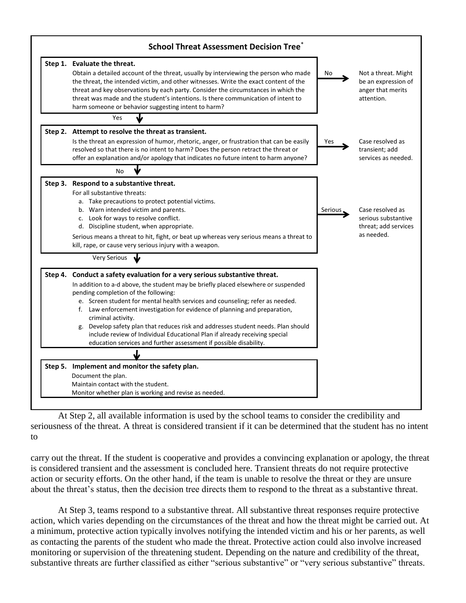

At Step 2, all available information is used by the school teams to consider the credibility and seriousness of the threat. A threat is considered transient if it can be determined that the student has no intent to

carry out the threat. If the student is cooperative and provides a convincing explanation or apology, the threat is considered transient and the assessment is concluded here. Transient threats do not require protective action or security efforts. On the other hand, if the team is unable to resolve the threat or they are unsure about the threat's status, then the decision tree directs them to respond to the threat as a substantive threat.

At Step 3, teams respond to a substantive threat. All substantive threat responses require protective action, which varies depending on the circumstances of the threat and how the threat might be carried out. At a minimum, protective action typically involves notifying the intended victim and his or her parents, as well as contacting the parents of the student who made the threat. Protective action could also involve increased monitoring or supervision of the threatening student. Depending on the nature and credibility of the threat, substantive threats are further classified as either "serious substantive" or "very serious substantive" threats.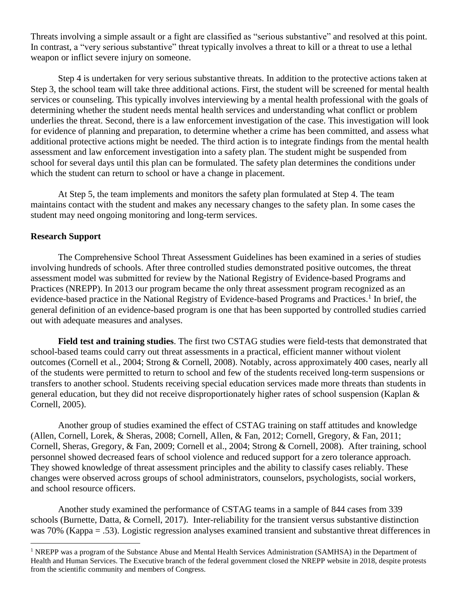Threats involving a simple assault or a fight are classified as "serious substantive" and resolved at this point. In contrast, a "very serious substantive" threat typically involves a threat to kill or a threat to use a lethal weapon or inflict severe injury on someone.

Step 4 is undertaken for very serious substantive threats. In addition to the protective actions taken at Step 3, the school team will take three additional actions. First, the student will be screened for mental health services or counseling. This typically involves interviewing by a mental health professional with the goals of determining whether the student needs mental health services and understanding what conflict or problem underlies the threat. Second, there is a law enforcement investigation of the case. This investigation will look for evidence of planning and preparation, to determine whether a crime has been committed, and assess what additional protective actions might be needed. The third action is to integrate findings from the mental health assessment and law enforcement investigation into a safety plan. The student might be suspended from school for several days until this plan can be formulated. The safety plan determines the conditions under which the student can return to school or have a change in placement.

At Step 5, the team implements and monitors the safety plan formulated at Step 4. The team maintains contact with the student and makes any necessary changes to the safety plan. In some cases the student may need ongoing monitoring and long-term services.

# **Research Support**

 $\overline{a}$ 

The Comprehensive School Threat Assessment Guidelines has been examined in a series of studies involving hundreds of schools. After three controlled studies demonstrated positive outcomes, the threat assessment model was submitted for review by the National Registry of Evidence-based Programs and Practices (NREPP). In 2013 our program became the only threat assessment program recognized as an evidence-based practice in the National Registry of Evidence-based Programs and Practices. 1 In brief, the general definition of an evidence-based program is one that has been supported by controlled studies carried out with adequate measures and analyses.

**Field test and training studies**. The first two CSTAG studies were field-tests that demonstrated that school-based teams could carry out threat assessments in a practical, efficient manner without violent outcomes (Cornell et al., 2004; Strong & Cornell, 2008). Notably, across approximately 400 cases, nearly all of the students were permitted to return to school and few of the students received long-term suspensions or transfers to another school. Students receiving special education services made more threats than students in general education, but they did not receive disproportionately higher rates of school suspension (Kaplan & Cornell, 2005).

Another group of studies examined the effect of CSTAG training on staff attitudes and knowledge (Allen, Cornell, Lorek, & Sheras, 2008; Cornell, Allen, & Fan, 2012; Cornell, Gregory, & Fan, 2011; Cornell, Sheras, Gregory, & Fan, 2009; Cornell et al., 2004; Strong & Cornell, 2008). After training, school personnel showed decreased fears of school violence and reduced support for a zero tolerance approach. They showed knowledge of threat assessment principles and the ability to classify cases reliably. These changes were observed across groups of school administrators, counselors, psychologists, social workers, and school resource officers.

Another study examined the performance of CSTAG teams in a sample of 844 cases from 339 schools (Burnette, Datta, & Cornell, 2017). Inter-reliability for the transient versus substantive distinction was 70% (Kappa = .53). Logistic regression analyses examined transient and substantive threat differences in

<sup>&</sup>lt;sup>1</sup> NREPP was a program of the Substance Abuse and Mental Health Services Administration (SAMHSA) in the Department of Health and Human Services. The Executive branch of the federal government closed the NREPP website in 2018, despite protests from the scientific community and members of Congress.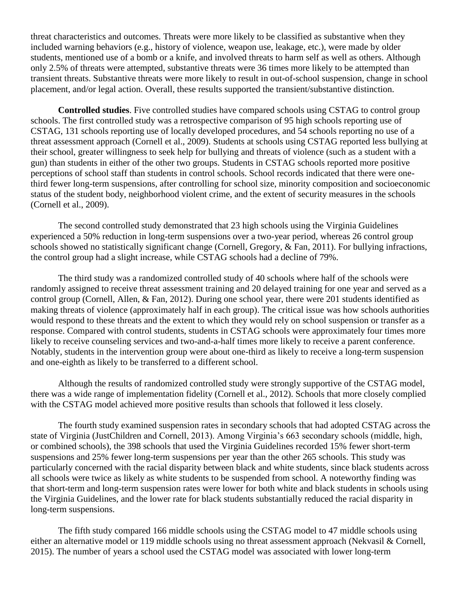threat characteristics and outcomes. Threats were more likely to be classified as substantive when they included warning behaviors (e.g., history of violence, weapon use, leakage, etc.), were made by older students, mentioned use of a bomb or a knife, and involved threats to harm self as well as others. Although only 2.5% of threats were attempted, substantive threats were 36 times more likely to be attempted than transient threats. Substantive threats were more likely to result in out-of-school suspension, change in school placement, and/or legal action. Overall, these results supported the transient/substantive distinction.

**Controlled studies**. Five controlled studies have compared schools using CSTAG to control group schools. The first controlled study was a retrospective comparison of 95 high schools reporting use of CSTAG, 131 schools reporting use of locally developed procedures, and 54 schools reporting no use of a threat assessment approach (Cornell et al., 2009). Students at schools using CSTAG reported less bullying at their school, greater willingness to seek help for bullying and threats of violence (such as a student with a gun) than students in either of the other two groups. Students in CSTAG schools reported more positive perceptions of school staff than students in control schools. School records indicated that there were onethird fewer long-term suspensions, after controlling for school size, minority composition and socioeconomic status of the student body, neighborhood violent crime, and the extent of security measures in the schools (Cornell et al., 2009).

The second controlled study demonstrated that 23 high schools using the Virginia Guidelines experienced a 50% reduction in long-term suspensions over a two-year period, whereas 26 control group schools showed no statistically significant change (Cornell, Gregory, & Fan, 2011). For bullying infractions, the control group had a slight increase, while CSTAG schools had a decline of 79%.

The third study was a randomized controlled study of 40 schools where half of the schools were randomly assigned to receive threat assessment training and 20 delayed training for one year and served as a control group (Cornell, Allen, & Fan, 2012). During one school year, there were 201 students identified as making threats of violence (approximately half in each group). The critical issue was how schools authorities would respond to these threats and the extent to which they would rely on school suspension or transfer as a response. Compared with control students, students in CSTAG schools were approximately four times more likely to receive counseling services and two-and-a-half times more likely to receive a parent conference. Notably, students in the intervention group were about one-third as likely to receive a long-term suspension and one-eighth as likely to be transferred to a different school.

Although the results of randomized controlled study were strongly supportive of the CSTAG model, there was a wide range of implementation fidelity (Cornell et al., 2012). Schools that more closely complied with the CSTAG model achieved more positive results than schools that followed it less closely.

The fourth study examined suspension rates in secondary schools that had adopted CSTAG across the state of Virginia (JustChildren and Cornell, 2013). Among Virginia's 663 secondary schools (middle, high, or combined schools), the 398 schools that used the Virginia Guidelines recorded 15% fewer short-term suspensions and 25% fewer long-term suspensions per year than the other 265 schools. This study was particularly concerned with the racial disparity between black and white students, since black students across all schools were twice as likely as white students to be suspended from school. A noteworthy finding was that short-term and long-term suspension rates were lower for both white and black students in schools using the Virginia Guidelines, and the lower rate for black students substantially reduced the racial disparity in long-term suspensions.

The fifth study compared 166 middle schools using the CSTAG model to 47 middle schools using either an alternative model or 119 middle schools using no threat assessment approach (Nekvasil & Cornell, 2015). The number of years a school used the CSTAG model was associated with lower long-term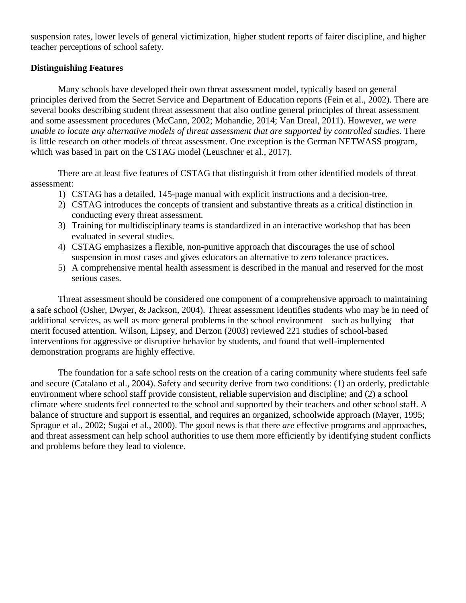suspension rates, lower levels of general victimization, higher student reports of fairer discipline, and higher teacher perceptions of school safety.

# **Distinguishing Features**

Many schools have developed their own threat assessment model, typically based on general principles derived from the Secret Service and Department of Education reports (Fein et al., 2002). There are several books describing student threat assessment that also outline general principles of threat assessment and some assessment procedures (McCann, 2002; Mohandie, 2014; Van Dreal, 2011). However, *we were unable to locate any alternative models of threat assessment that are supported by controlled studies*. There is little research on other models of threat assessment. One exception is the German NETWASS program, which was based in part on the CSTAG model (Leuschner et al., 2017).

There are at least five features of CSTAG that distinguish it from other identified models of threat assessment:

- 1) CSTAG has a detailed, 145-page manual with explicit instructions and a decision-tree.
- 2) CSTAG introduces the concepts of transient and substantive threats as a critical distinction in conducting every threat assessment.
- 3) Training for multidisciplinary teams is standardized in an interactive workshop that has been evaluated in several studies.
- 4) CSTAG emphasizes a flexible, non-punitive approach that discourages the use of school suspension in most cases and gives educators an alternative to zero tolerance practices.
- 5) A comprehensive mental health assessment is described in the manual and reserved for the most serious cases.

Threat assessment should be considered one component of a comprehensive approach to maintaining a safe school (Osher, Dwyer, & Jackson, 2004). Threat assessment identifies students who may be in need of additional services, as well as more general problems in the school environment—such as bullying—that merit focused attention. Wilson, Lipsey, and Derzon (2003) reviewed 221 studies of school-based interventions for aggressive or disruptive behavior by students, and found that well-implemented demonstration programs are highly effective.

The foundation for a safe school rests on the creation of a caring community where students feel safe and secure (Catalano et al., 2004). Safety and security derive from two conditions: (1) an orderly, predictable environment where school staff provide consistent, reliable supervision and discipline; and (2) a school climate where students feel connected to the school and supported by their teachers and other school staff. A balance of structure and support is essential, and requires an organized, schoolwide approach (Mayer, 1995; Sprague et al., 2002; Sugai et al., 2000). The good news is that there *are* effective programs and approaches, and threat assessment can help school authorities to use them more efficiently by identifying student conflicts and problems before they lead to violence.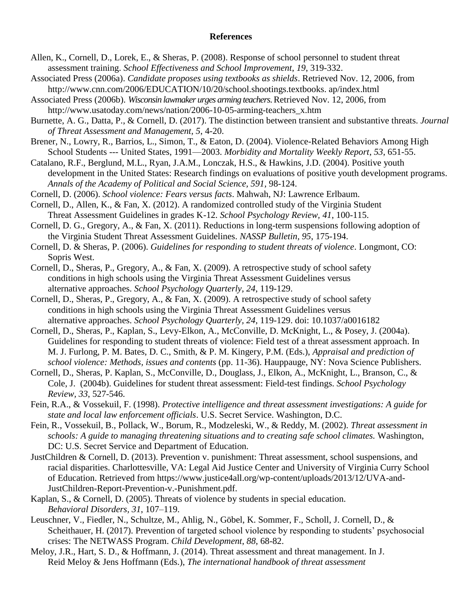#### **References**

- Allen, K., Cornell, D., Lorek, E., & Sheras, P. (2008). Response of school personnel to student threat assessment training. *School Effectiveness and School Improvement*, *19*, 319-332.
- Associated Press (2006a). *Candidate proposes using textbooks as shields*. Retrieved Nov. 12, 2006, from http://www.cnn.com/2006/EDUCATION/10/20/school.shootings.textbooks. ap/index.html

Associated Press (2006b). *Wisconsin lawmaker urges arming teachers*. Retrieved Nov. 12, 2006, from http://www.usatoday.com/news/nation/2006-10-05-arming-teachers\_x.htm

Burnette, A. G., Datta, P., & Cornell, D. (2017). The distinction between transient and substantive threats. *Journal of Threat Assessment and Management, 5*, 4-20.

Brener, N., Lowry, R., Barrios, L., Simon, T., & Eaton, D. (2004). Violence-Related Behaviors Among High School Students --- United States, 1991—2003. *Morbidity and Mortality Weekly Report*, *53*, 651-55.

Catalano, R.F., Berglund, M.L., Ryan, J.A.M., Lonczak, H.S., & Hawkins, J.D. (2004). Positive youth development in the United States: Research findings on evaluations of positive youth development programs. *Annals of the Academy of Political and Social Science, 591,* 98-124.

- Cornell, D. (2006). *School violence: Fears versus facts*. Mahwah, NJ: Lawrence Erlbaum.
- Cornell, D., Allen, K., & Fan, X. (2012). A randomized controlled study of the Virginia Student Threat Assessment Guidelines in grades K-12. *School Psychology Review, 41*, 100-115.

Cornell, D. G., Gregory, A., & Fan, X. (2011). Reductions in long-term suspensions following adoption of the Virginia Student Threat Assessment Guidelines. *NASSP Bulletin, 95*, 175-194.

- Cornell, D. & Sheras, P. (2006). *Guidelines for responding to student threats of violence*. Longmont, CO: Sopris West.
- Cornell, D., Sheras, P., Gregory, A., & Fan, X. (2009). A retrospective study of school safety conditions in high schools using the Virginia Threat Assessment Guidelines versus alternative approaches. *School Psychology Quarterly, 24*, 119-129.
- Cornell, D., Sheras, P., Gregory, A., & Fan, X. (2009). A retrospective study of school safety conditions in high schools using the Virginia Threat Assessment Guidelines versus alternative approaches. *School Psychology Quarterly, 24*, 119-129. doi: 10.1037/a0016182
- Cornell, D., Sheras, P., Kaplan, S., Levy-Elkon, A., McConville, D. McKnight, L., & Posey, J. (2004a). Guidelines for responding to student threats of violence: Field test of a threat assessment approach. In M. J. Furlong, P. M. Bates, D. C., Smith, & P. M. Kingery, P.M. (Eds.), *Appraisal and prediction of school violence: Methods, issues and contents* (pp. 11-36). Hauppauge, NY: Nova Science Publishers.
- Cornell, D., Sheras, P. Kaplan, S., McConville, D., Douglass, J., Elkon, A., McKnight, L., Branson, C., & Cole, J. (2004b). Guidelines for student threat assessment: Field-test findings. *School Psychology Review, 33*, 527-546.

Fein, R.A., & Vossekuil, F. (1998). *Protective intelligence and threat assessment investigations: A guide for state and local law enforcement officials*. U.S. Secret Service. Washington, D.C.

Fein, R., Vossekuil, B., Pollack, W., Borum, R., Modzeleski, W., & Reddy, M. (2002). *Threat assessment in schools: A guide to managing threatening situations and to creating safe school climates.* Washington, DC: U.S. Secret Service and Department of Education.

- JustChildren & Cornell, D. (2013). Prevention v. punishment: Threat assessment, school suspensions, and racial disparities. Charlottesville, VA: Legal Aid Justice Center and University of Virginia Curry School of Education. Retrieved from https://www.justice4all.org/wp-content/uploads/2013/12/UVA-and-JustChildren-Report-Prevention-v.-Punishment.pdf.
- Kaplan, S., & Cornell, D. (2005). Threats of violence by students in special education. *Behavioral Disorders, 31*, 107–119.
- Leuschner, V., Fiedler, N., Schultze, M., Ahlig, N., Göbel, K. Sommer, F., Scholl, J. Cornell, D., & Scheithauer, H. (2017). Prevention of targeted school violence by responding to students' psychosocial crises: The NETWASS Program. *Child Development*, *88*, 68-82.
- Meloy, J.R., Hart, S. D., & Hoffmann, J. (2014). Threat assessment and threat management. In J. Reid Meloy & Jens Hoffmann (Eds.), *The international handbook of threat assessment*